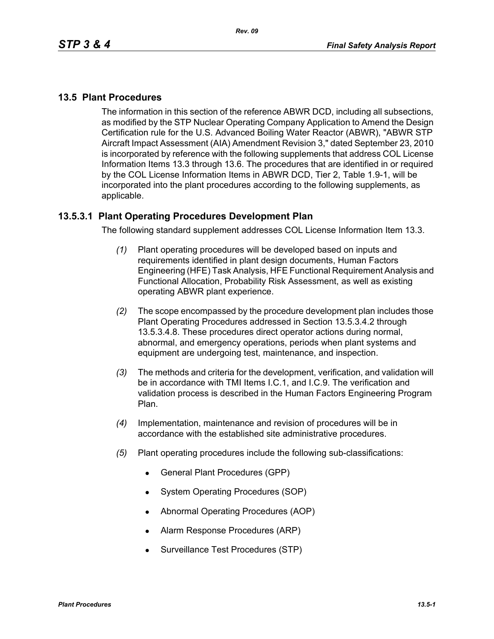### **13.5 Plant Procedures**

The information in this section of the reference ABWR DCD, including all subsections, as modified by the STP Nuclear Operating Company Application to Amend the Design Certification rule for the U.S. Advanced Boiling Water Reactor (ABWR), "ABWR STP Aircraft Impact Assessment (AIA) Amendment Revision 3," dated September 23, 2010 is incorporated by reference with the following supplements that address COL License Information Items 13.3 through 13.6. The procedures that are identified in or required by the COL License Information Items in ABWR DCD, Tier 2, Table 1.9-1, will be incorporated into the plant procedures according to the following supplements, as applicable.

### **13.5.3.1 Plant Operating Procedures Development Plan**

The following standard supplement addresses COL License Information Item 13.3.

- *(1)* Plant operating procedures will be developed based on inputs and requirements identified in plant design documents, Human Factors Engineering (HFE) Task Analysis, HFE Functional Requirement Analysis and Functional Allocation, Probability Risk Assessment, as well as existing operating ABWR plant experience.
- *(2)* The scope encompassed by the procedure development plan includes those Plant Operating Procedures addressed in Section 13.5.3.4.2 through 13.5.3.4.8. These procedures direct operator actions during normal, abnormal, and emergency operations, periods when plant systems and equipment are undergoing test, maintenance, and inspection.
- *(3)* The methods and criteria for the development, verification, and validation will be in accordance with TMI Items I.C.1, and I.C.9. The verification and validation process is described in the Human Factors Engineering Program Plan.
- *(4)* Implementation, maintenance and revision of procedures will be in accordance with the established site administrative procedures.
- *(5)* Plant operating procedures include the following sub-classifications:
	- General Plant Procedures (GPP)
	- System Operating Procedures (SOP)
	- Abnormal Operating Procedures (AOP)
	- Alarm Response Procedures (ARP)
	- Surveillance Test Procedures (STP)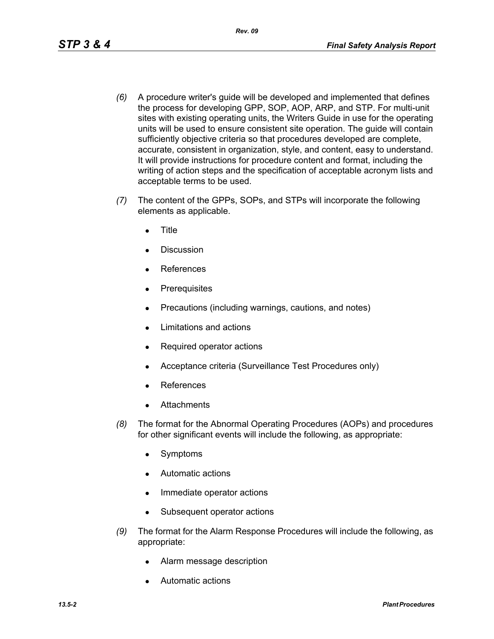- *(6)* A procedure writer's guide will be developed and implemented that defines the process for developing GPP, SOP, AOP, ARP, and STP. For multi-unit sites with existing operating units, the Writers Guide in use for the operating units will be used to ensure consistent site operation. The guide will contain sufficiently objective criteria so that procedures developed are complete, accurate, consistent in organization, style, and content, easy to understand. It will provide instructions for procedure content and format, including the writing of action steps and the specification of acceptable acronym lists and acceptable terms to be used.
- *(7)* The content of the GPPs, SOPs, and STPs will incorporate the following elements as applicable.
	- **Title**
	- Discussion
	- **References**
	- Prerequisites
	- Precautions (including warnings, cautions, and notes)
	- Limitations and actions
	- Required operator actions
	- Acceptance criteria (Surveillance Test Procedures only)
	- **References**
	- **Attachments**
- *(8)* The format for the Abnormal Operating Procedures (AOPs) and procedures for other significant events will include the following, as appropriate:
	- Symptoms
	- Automatic actions
	- Immediate operator actions
	- Subsequent operator actions
- *(9)* The format for the Alarm Response Procedures will include the following, as appropriate:
	- Alarm message description
	- Automatic actions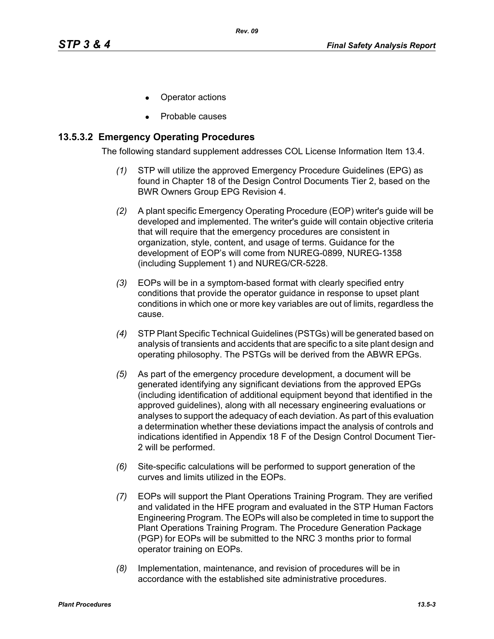- Operator actions
- Probable causes

### **13.5.3.2 Emergency Operating Procedures**

The following standard supplement addresses COL License Information Item 13.4.

- *(1)* STP will utilize the approved Emergency Procedure Guidelines (EPG) as found in Chapter 18 of the Design Control Documents Tier 2, based on the BWR Owners Group EPG Revision 4.
- *(2)* A plant specific Emergency Operating Procedure (EOP) writer's guide will be developed and implemented. The writer's guide will contain objective criteria that will require that the emergency procedures are consistent in organization, style, content, and usage of terms. Guidance for the development of EOP's will come from NUREG-0899, NUREG-1358 (including Supplement 1) and NUREG/CR-5228.
- *(3)* EOPs will be in a symptom-based format with clearly specified entry conditions that provide the operator guidance in response to upset plant conditions in which one or more key variables are out of limits, regardless the cause.
- *(4)* STP Plant Specific Technical Guidelines (PSTGs) will be generated based on analysis of transients and accidents that are specific to a site plant design and operating philosophy. The PSTGs will be derived from the ABWR EPGs.
- *(5)* As part of the emergency procedure development, a document will be generated identifying any significant deviations from the approved EPGs (including identification of additional equipment beyond that identified in the approved guidelines), along with all necessary engineering evaluations or analyses to support the adequacy of each deviation. As part of this evaluation a determination whether these deviations impact the analysis of controls and indications identified in Appendix 18 F of the Design Control Document Tier-2 will be performed.
- *(6)* Site-specific calculations will be performed to support generation of the curves and limits utilized in the EOPs.
- *(7)* EOPs will support the Plant Operations Training Program. They are verified and validated in the HFE program and evaluated in the STP Human Factors Engineering Program. The EOPs will also be completed in time to support the Plant Operations Training Program. The Procedure Generation Package (PGP) for EOPs will be submitted to the NRC 3 months prior to formal operator training on EOPs.
- *(8)* Implementation, maintenance, and revision of procedures will be in accordance with the established site administrative procedures.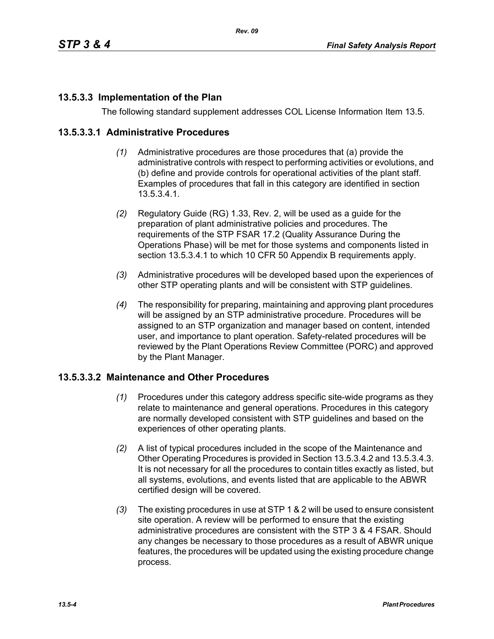# **13.5.3.3 Implementation of the Plan**

The following standard supplement addresses COL License Information Item 13.5.

## **13.5.3.3.1 Administrative Procedures**

- *(1)* Administrative procedures are those procedures that (a) provide the administrative controls with respect to performing activities or evolutions, and (b) define and provide controls for operational activities of the plant staff. Examples of procedures that fall in this category are identified in section 13.5.3.4.1.
- *(2)* Regulatory Guide (RG) 1.33, Rev. 2, will be used as a guide for the preparation of plant administrative policies and procedures. The requirements of the STP FSAR 17.2 (Quality Assurance During the Operations Phase) will be met for those systems and components listed in section 13.5.3.4.1 to which 10 CFR 50 Appendix B requirements apply.
- *(3)* Administrative procedures will be developed based upon the experiences of other STP operating plants and will be consistent with STP guidelines.
- *(4)* The responsibility for preparing, maintaining and approving plant procedures will be assigned by an STP administrative procedure. Procedures will be assigned to an STP organization and manager based on content, intended user, and importance to plant operation. Safety-related procedures will be reviewed by the Plant Operations Review Committee (PORC) and approved by the Plant Manager.

## **13.5.3.3.2 Maintenance and Other Procedures**

- *(1)* Procedures under this category address specific site-wide programs as they relate to maintenance and general operations. Procedures in this category are normally developed consistent with STP guidelines and based on the experiences of other operating plants.
- *(2)* A list of typical procedures included in the scope of the Maintenance and Other Operating Procedures is provided in Section 13.5.3.4.2 and 13.5.3.4.3. It is not necessary for all the procedures to contain titles exactly as listed, but all systems, evolutions, and events listed that are applicable to the ABWR certified design will be covered.
- *(3)* The existing procedures in use at STP 1 & 2 will be used to ensure consistent site operation. A review will be performed to ensure that the existing administrative procedures are consistent with the STP 3 & 4 FSAR. Should any changes be necessary to those procedures as a result of ABWR unique features, the procedures will be updated using the existing procedure change process.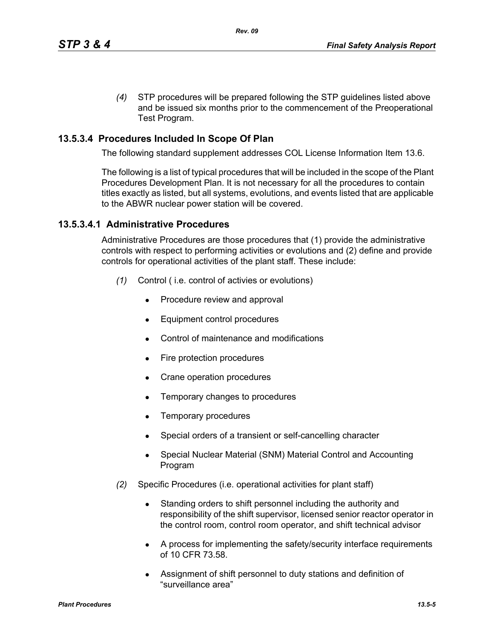*(4)* STP procedures will be prepared following the STP guidelines listed above and be issued six months prior to the commencement of the Preoperational Test Program.

# **13.5.3.4 Procedures Included In Scope Of Plan**

The following standard supplement addresses COL License Information Item 13.6.

The following is a list of typical procedures that will be included in the scope of the Plant Procedures Development Plan. It is not necessary for all the procedures to contain titles exactly as listed, but all systems, evolutions, and events listed that are applicable to the ABWR nuclear power station will be covered.

## **13.5.3.4.1 Administrative Procedures**

Administrative Procedures are those procedures that (1) provide the administrative controls with respect to performing activities or evolutions and (2) define and provide controls for operational activities of the plant staff. These include:

- *(1)* Control ( i.e. control of activies or evolutions)
	- Procedure review and approval
	- Equipment control procedures
	- Control of maintenance and modifications
	- $\bullet$  Fire protection procedures
	- Crane operation procedures
	- Temporary changes to procedures
	- $\bullet$  Temporary procedures
	- Special orders of a transient or self-cancelling character
	- Special Nuclear Material (SNM) Material Control and Accounting Program
- *(2)* Specific Procedures (i.e. operational activities for plant staff)
	- Standing orders to shift personnel including the authority and responsibility of the shift supervisor, licensed senior reactor operator in the control room, control room operator, and shift technical advisor
	- A process for implementing the safety/security interface requirements of 10 CFR 73.58.
	- Assignment of shift personnel to duty stations and definition of "surveillance area"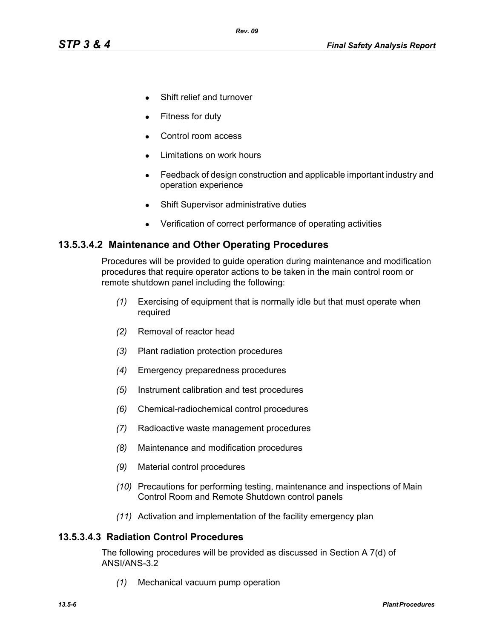- Shift relief and turnover
- Fitness for duty
- Control room access
- Limitations on work hours
- Feedback of design construction and applicable important industry and operation experience
- Shift Supervisor administrative duties
- Verification of correct performance of operating activities

### **13.5.3.4.2 Maintenance and Other Operating Procedures**

Procedures will be provided to guide operation during maintenance and modification procedures that require operator actions to be taken in the main control room or remote shutdown panel including the following:

- *(1)* Exercising of equipment that is normally idle but that must operate when required
- *(2)* Removal of reactor head
- *(3)* Plant radiation protection procedures
- *(4)* Emergency preparedness procedures
- *(5)* Instrument calibration and test procedures
- *(6)* Chemical-radiochemical control procedures
- *(7)* Radioactive waste management procedures
- *(8)* Maintenance and modification procedures
- *(9)* Material control procedures
- *(10)* Precautions for performing testing, maintenance and inspections of Main Control Room and Remote Shutdown control panels
- *(11)* Activation and implementation of the facility emergency plan

#### **13.5.3.4.3 Radiation Control Procedures**

The following procedures will be provided as discussed in Section A 7(d) of ANSI/ANS-3.2

*(1)* Mechanical vacuum pump operation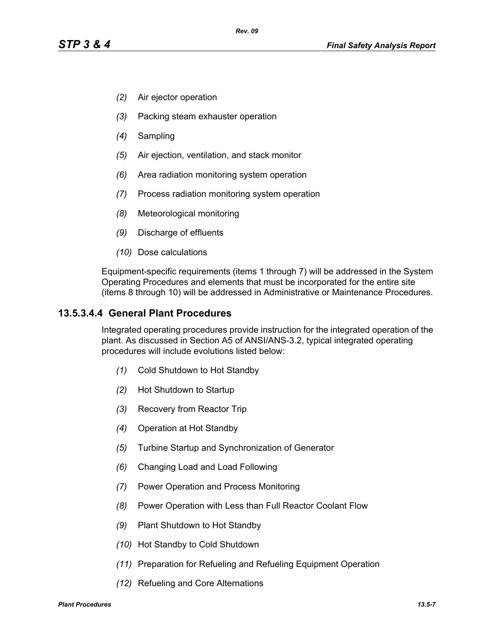- *(2)* Air ejector operation
- *(3)* Packing steam exhauster operation
- *(4)* Sampling
- *(5)* Air ejection, ventilation, and stack monitor
- *(6)* Area radiation monitoring system operation
- *(7)* Process radiation monitoring system operation
- *(8)* Meteorological monitoring
- *(9)* Discharge of effluents
- *(10)* Dose calculations

Equipment-specific requirements (items 1 through 7) will be addressed in the System Operating Procedures and elements that must be incorporated for the entire site (items 8 through 10) will be addressed in Administrative or Maintenance Procedures.

### **13.5.3.4.4 General Plant Procedures**

Integrated operating procedures provide instruction for the integrated operation of the plant. As discussed in Section A5 of ANSI/ANS-3.2, typical integrated operating procedures will include evolutions listed below:

- *(1)* Cold Shutdown to Hot Standby
- *(2)* Hot Shutdown to Startup
- *(3)* Recovery from Reactor Trip
- *(4)* Operation at Hot Standby
- *(5)* Turbine Startup and Synchronization of Generator
- *(6)* Changing Load and Load Following
- *(7)* Power Operation and Process Monitoring
- *(8)* Power Operation with Less than Full Reactor Coolant Flow
- *(9)* Plant Shutdown to Hot Standby
- *(10)* Hot Standby to Cold Shutdown
- *(11)* Preparation for Refueling and Refueling Equipment Operation
- *(12)* Refueling and Core Alternations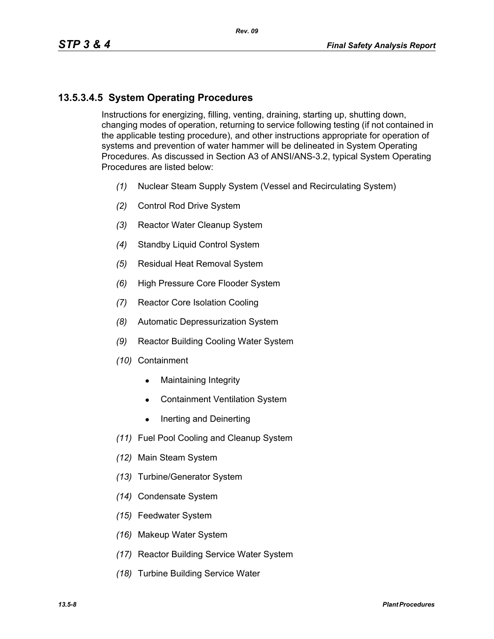# **13.5.3.4.5 System Operating Procedures**

Instructions for energizing, filling, venting, draining, starting up, shutting down, changing modes of operation, returning to service following testing (if not contained in the applicable testing procedure), and other instructions appropriate for operation of systems and prevention of water hammer will be delineated in System Operating Procedures. As discussed in Section A3 of ANSI/ANS-3.2, typical System Operating Procedures are listed below:

- *(1)* Nuclear Steam Supply System (Vessel and Recirculating System)
- *(2)* Control Rod Drive System
- *(3)* Reactor Water Cleanup System
- *(4)* Standby Liquid Control System
- *(5)* Residual Heat Removal System
- *(6)* High Pressure Core Flooder System
- *(7)* Reactor Core Isolation Cooling
- *(8)* Automatic Depressurization System
- *(9)* Reactor Building Cooling Water System
- *(10)* Containment
	- $\bullet$  Maintaining Integrity
	- Containment Ventilation System
	- $\bullet$  Inerting and Deinerting
- *(11)* Fuel Pool Cooling and Cleanup System
- *(12)* Main Steam System
- *(13)* Turbine/Generator System
- *(14)* Condensate System
- *(15)* Feedwater System
- *(16)* Makeup Water System
- *(17)* Reactor Building Service Water System
- *(18)* Turbine Building Service Water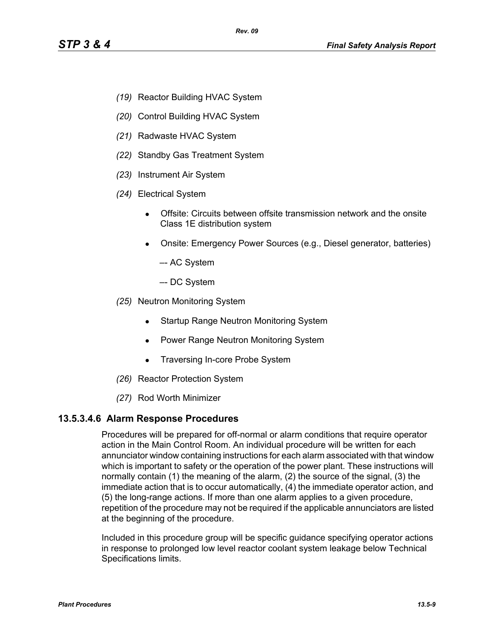- *(19)* Reactor Building HVAC System
- *(20)* Control Building HVAC System
- *(21)* Radwaste HVAC System
- *(22)* Standby Gas Treatment System
- *(23)* Instrument Air System
- *(24)* Electrical System
	- Offsite: Circuits between offsite transmission network and the onsite Class 1E distribution system
	- Onsite: Emergency Power Sources (e.g., Diesel generator, batteries)
		- –- AC System
		- –- DC System
- *(25)* Neutron Monitoring System
	- Startup Range Neutron Monitoring System
	- Power Range Neutron Monitoring System
	- Traversing In-core Probe System
- *(26)* Reactor Protection System
- *(27)* Rod Worth Minimizer

#### **13.5.3.4.6 Alarm Response Procedures**

Procedures will be prepared for off-normal or alarm conditions that require operator action in the Main Control Room. An individual procedure will be written for each annunciator window containing instructions for each alarm associated with that window which is important to safety or the operation of the power plant. These instructions will normally contain (1) the meaning of the alarm, (2) the source of the signal, (3) the immediate action that is to occur automatically, (4) the immediate operator action, and (5) the long-range actions. If more than one alarm applies to a given procedure, repetition of the procedure may not be required if the applicable annunciators are listed at the beginning of the procedure.

Included in this procedure group will be specific guidance specifying operator actions in response to prolonged low level reactor coolant system leakage below Technical Specifications limits.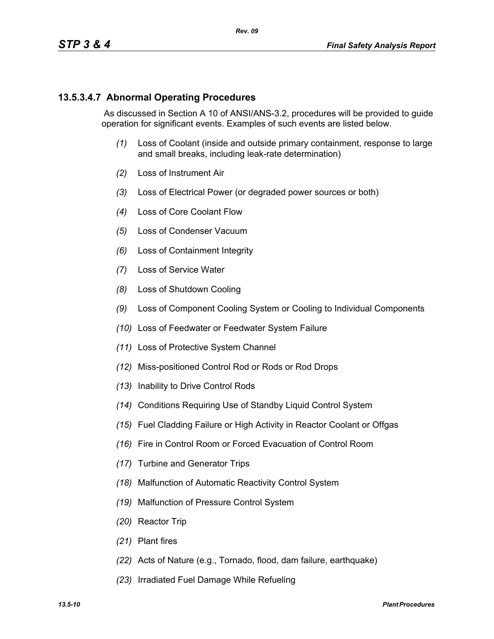## **13.5.3.4.7 Abnormal Operating Procedures**

 As discussed in Section A 10 of ANSI/ANS-3.2, procedures will be provided to guide operation for significant events. Examples of such events are listed below.

- *(1)* Loss of Coolant (inside and outside primary containment, response to large and small breaks, including leak-rate determination)
- *(2)* Loss of Instrument Air
- *(3)* Loss of Electrical Power (or degraded power sources or both)
- *(4)* Loss of Core Coolant Flow
- *(5)* Loss of Condenser Vacuum
- *(6)* Loss of Containment Integrity
- *(7)* Loss of Service Water
- *(8)* Loss of Shutdown Cooling
- *(9)* Loss of Component Cooling System or Cooling to Individual Components
- *(10)* Loss of Feedwater or Feedwater System Failure
- *(11)* Loss of Protective System Channel
- *(12)* Miss-positioned Control Rod or Rods or Rod Drops
- *(13)* Inability to Drive Control Rods
- *(14)* Conditions Requiring Use of Standby Liquid Control System
- *(15)* Fuel Cladding Failure or High Activity in Reactor Coolant or Offgas
- *(16)* Fire in Control Room or Forced Evacuation of Control Room
- *(17)* Turbine and Generator Trips
- *(18)* Malfunction of Automatic Reactivity Control System
- *(19)* Malfunction of Pressure Control System
- *(20)* Reactor Trip
- *(21)* Plant fires
- *(22)* Acts of Nature (e.g., Tornado, flood, dam failure, earthquake)
- *(23)* Irradiated Fuel Damage While Refueling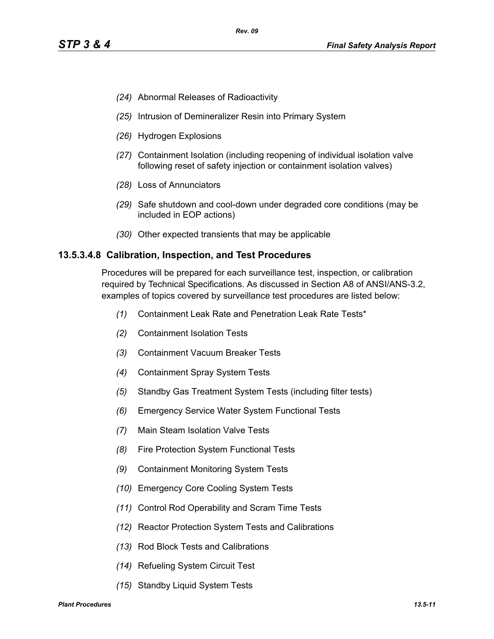- *(24)* Abnormal Releases of Radioactivity
- *(25)* Intrusion of Demineralizer Resin into Primary System
- *(26)* Hydrogen Explosions
- *(27)* Containment Isolation (including reopening of individual isolation valve following reset of safety injection or containment isolation valves)
- *(28)* Loss of Annunciators
- *(29)* Safe shutdown and cool-down under degraded core conditions (may be included in EOP actions)
- *(30)* Other expected transients that may be applicable

#### **13.5.3.4.8 Calibration, Inspection, and Test Procedures**

Procedures will be prepared for each surveillance test, inspection, or calibration required by Technical Specifications. As discussed in Section A8 of ANSI/ANS-3.2, examples of topics covered by surveillance test procedures are listed below:

- *(1)* Containment Leak Rate and Penetration Leak Rate Tests\*
- *(2)* Containment Isolation Tests
- *(3)* Containment Vacuum Breaker Tests
- *(4)* Containment Spray System Tests
- *(5)* Standby Gas Treatment System Tests (including filter tests)
- *(6)* Emergency Service Water System Functional Tests
- *(7)* Main Steam Isolation Valve Tests
- *(8)* Fire Protection System Functional Tests
- *(9)* Containment Monitoring System Tests
- *(10)* Emergency Core Cooling System Tests
- *(11)* Control Rod Operability and Scram Time Tests
- *(12)* Reactor Protection System Tests and Calibrations
- *(13)* Rod Block Tests and Calibrations
- *(14)* Refueling System Circuit Test
- *(15)* Standby Liquid System Tests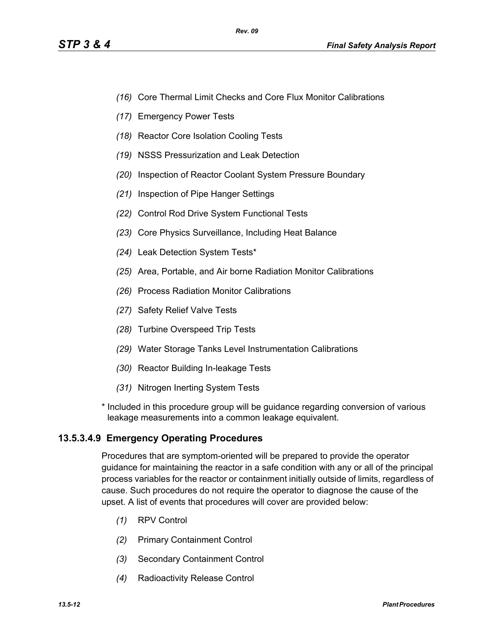- *(16)* Core Thermal Limit Checks and Core Flux Monitor Calibrations
- *(17)* Emergency Power Tests
- *(18)* Reactor Core Isolation Cooling Tests
- *(19)* NSSS Pressurization and Leak Detection
- *(20)* Inspection of Reactor Coolant System Pressure Boundary
- *(21)* Inspection of Pipe Hanger Settings
- *(22)* Control Rod Drive System Functional Tests
- *(23)* Core Physics Surveillance, Including Heat Balance
- *(24)* Leak Detection System Tests\*
- *(25)* Area, Portable, and Air borne Radiation Monitor Calibrations
- *(26)* Process Radiation Monitor Calibrations
- *(27)* Safety Relief Valve Tests
- *(28)* Turbine Overspeed Trip Tests
- *(29)* Water Storage Tanks Level Instrumentation Calibrations
- *(30)* Reactor Building In-leakage Tests
- *(31)* Nitrogen Inerting System Tests
- \* Included in this procedure group will be guidance regarding conversion of various leakage measurements into a common leakage equivalent.

## **13.5.3.4.9 Emergency Operating Procedures**

Procedures that are symptom-oriented will be prepared to provide the operator guidance for maintaining the reactor in a safe condition with any or all of the principal process variables for the reactor or containment initially outside of limits, regardless of cause. Such procedures do not require the operator to diagnose the cause of the upset. A list of events that procedures will cover are provided below:

- *(1)* RPV Control
- *(2)* Primary Containment Control
- *(3)* Secondary Containment Control
- *(4)* Radioactivity Release Control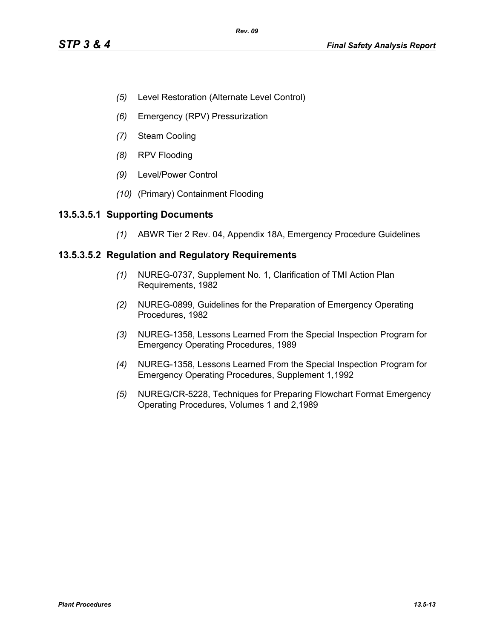- *(5)* Level Restoration (Alternate Level Control)
- *(6)* Emergency (RPV) Pressurization
- *(7)* Steam Cooling
- *(8)* RPV Flooding
- *(9)* Level/Power Control
- *(10)* (Primary) Containment Flooding

### **13.5.3.5.1 Supporting Documents**

*(1)* ABWR Tier 2 Rev. 04, Appendix 18A, Emergency Procedure Guidelines

### **13.5.3.5.2 Regulation and Regulatory Requirements**

- *(1)* NUREG-0737, Supplement No. 1, Clarification of TMI Action Plan Requirements, 1982
- *(2)* NUREG-0899, Guidelines for the Preparation of Emergency Operating Procedures, 1982
- *(3)* NUREG-1358, Lessons Learned From the Special Inspection Program for Emergency Operating Procedures, 1989
- *(4)* NUREG-1358, Lessons Learned From the Special Inspection Program for Emergency Operating Procedures, Supplement 1,1992
- *(5)* NUREG/CR-5228, Techniques for Preparing Flowchart Format Emergency Operating Procedures, Volumes 1 and 2,1989